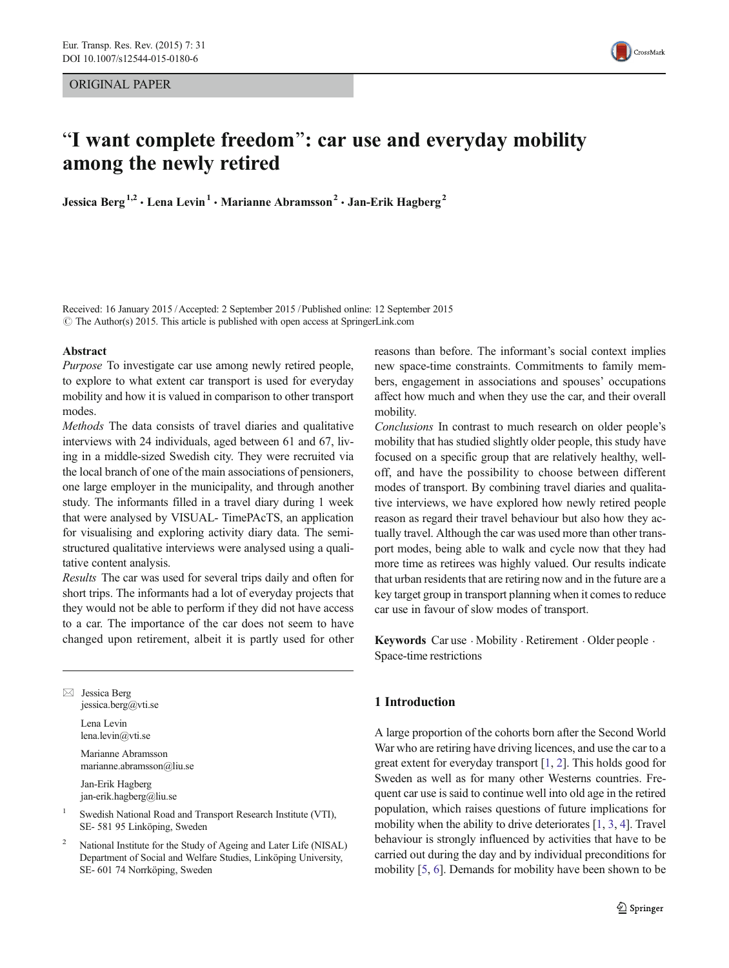ORIGINAL PAPER



# "I want complete freedom": car use and everyday mobility among the newly retired

Jessica Berg<sup>1,2</sup> · Lena Levin<sup>1</sup> · Marianne Abramsson<sup>2</sup> · Jan-Erik Hagberg<sup>2</sup>

Received: 16 January 2015 /Accepted: 2 September 2015 /Published online: 12 September 2015  $\odot$  The Author(s) 2015. This article is published with open access at SpringerLink.com

#### Abstract

Purpose To investigate car use among newly retired people, to explore to what extent car transport is used for everyday mobility and how it is valued in comparison to other transport modes.

Methods The data consists of travel diaries and qualitative interviews with 24 individuals, aged between 61 and 67, living in a middle-sized Swedish city. They were recruited via the local branch of one of the main associations of pensioners, one large employer in the municipality, and through another study. The informants filled in a travel diary during 1 week that were analysed by VISUAL- TimePAcTS, an application for visualising and exploring activity diary data. The semistructured qualitative interviews were analysed using a qualitative content analysis.

Results The car was used for several trips daily and often for short trips. The informants had a lot of everyday projects that they would not be able to perform if they did not have access to a car. The importance of the car does not seem to have changed upon retirement, albeit it is partly used for other

 $\boxtimes$  Jessica Berg jessica.berg@vti.se

> Lena Levin lena.levin@vti.se

Marianne Abramsson marianne.abramsson@liu.se

Jan-Erik Hagberg jan-erik.hagberg@liu.se

- Swedish National Road and Transport Research Institute (VTI), SE- 581 95 Linköping, Sweden
- <sup>2</sup> National Institute for the Study of Ageing and Later Life (NISAL) Department of Social and Welfare Studies, Linköping University, SE- 601 74 Norrköping, Sweden

reasons than before. The informant's social context implies new space-time constraints. Commitments to family members, engagement in associations and spouses' occupations affect how much and when they use the car, and their overall mobility.

Conclusions In contrast to much research on older people's mobility that has studied slightly older people, this study have focused on a specific group that are relatively healthy, welloff, and have the possibility to choose between different modes of transport. By combining travel diaries and qualitative interviews, we have explored how newly retired people reason as regard their travel behaviour but also how they actually travel. Although the car was used more than other transport modes, being able to walk and cycle now that they had more time as retirees was highly valued. Our results indicate that urban residents that are retiring now and in the future are a key target group in transport planning when it comes to reduce car use in favour of slow modes of transport.

Keywords Car use . Mobility . Retirement . Older people . Space-time restrictions

# 1 Introduction

A large proportion of the cohorts born after the Second World War who are retiring have driving licences, and use the car to a great extent for everyday transport [\[1](#page-8-0), [2\]](#page-8-0). This holds good for Sweden as well as for many other Westerns countries. Frequent car use is said to continue well into old age in the retired population, which raises questions of future implications for mobility when the ability to drive deteriorates [\[1](#page-8-0), [3,](#page-8-0) [4\]](#page-8-0). Travel behaviour is strongly influenced by activities that have to be carried out during the day and by individual preconditions for mobility [\[5](#page-8-0), [6](#page-8-0)]. Demands for mobility have been shown to be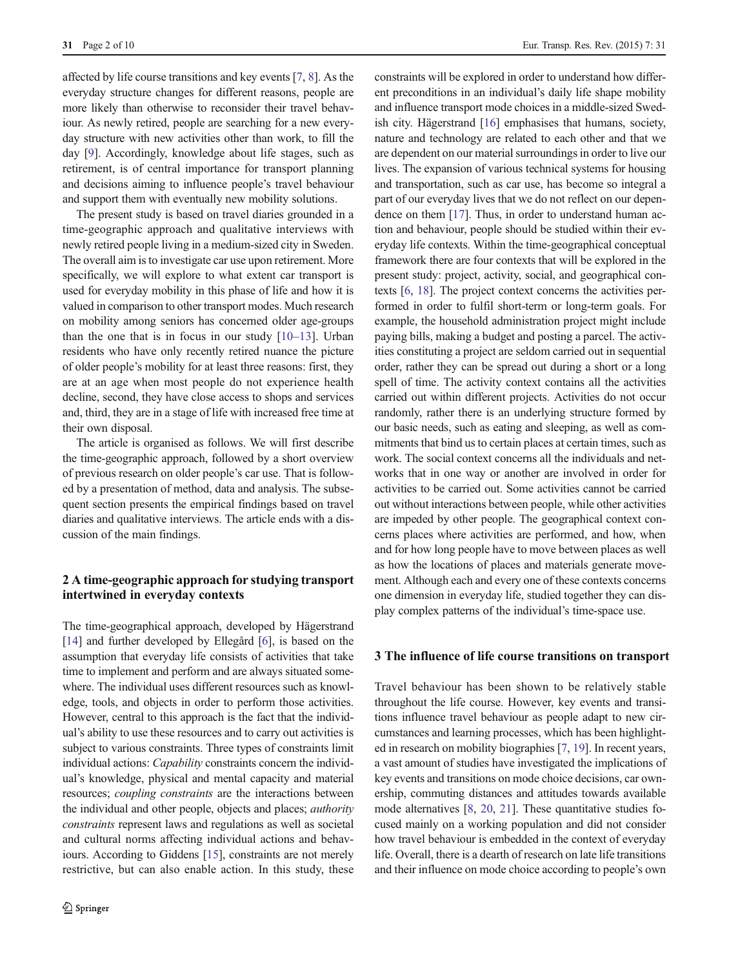affected by life course transitions and key events [\[7](#page-8-0), [8\]](#page-8-0). As the everyday structure changes for different reasons, people are more likely than otherwise to reconsider their travel behaviour. As newly retired, people are searching for a new everyday structure with new activities other than work, to fill the day [\[9\]](#page-8-0). Accordingly, knowledge about life stages, such as retirement, is of central importance for transport planning and decisions aiming to influence people's travel behaviour and support them with eventually new mobility solutions.

The present study is based on travel diaries grounded in a time-geographic approach and qualitative interviews with newly retired people living in a medium-sized city in Sweden. The overall aim is to investigate car use upon retirement. More specifically, we will explore to what extent car transport is used for everyday mobility in this phase of life and how it is valued in comparison to other transport modes. Much research on mobility among seniors has concerned older age-groups than the one that is in focus in our study  $[10-13]$  $[10-13]$  $[10-13]$  $[10-13]$ . Urban residents who have only recently retired nuance the picture of older people's mobility for at least three reasons: first, they are at an age when most people do not experience health decline, second, they have close access to shops and services and, third, they are in a stage of life with increased free time at their own disposal.

The article is organised as follows. We will first describe the time-geographic approach, followed by a short overview of previous research on older people's car use. That is followed by a presentation of method, data and analysis. The subsequent section presents the empirical findings based on travel diaries and qualitative interviews. The article ends with a discussion of the main findings.

## 2 A time-geographic approach for studying transport intertwined in everyday contexts

The time-geographical approach, developed by Hägerstrand [\[14\]](#page-8-0) and further developed by Ellegård [\[6](#page-8-0)], is based on the assumption that everyday life consists of activities that take time to implement and perform and are always situated somewhere. The individual uses different resources such as knowledge, tools, and objects in order to perform those activities. However, central to this approach is the fact that the individual's ability to use these resources and to carry out activities is subject to various constraints. Three types of constraints limit individual actions: *Capability* constraints concern the individual's knowledge, physical and mental capacity and material resources; coupling constraints are the interactions between the individual and other people, objects and places; authority constraints represent laws and regulations as well as societal and cultural norms affecting individual actions and behaviours. According to Giddens [\[15\]](#page-8-0), constraints are not merely restrictive, but can also enable action. In this study, these constraints will be explored in order to understand how different preconditions in an individual's daily life shape mobility and influence transport mode choices in a middle-sized Swedish city. Hägerstrand [\[16](#page-8-0)] emphasises that humans, society, nature and technology are related to each other and that we are dependent on our material surroundings in order to live our lives. The expansion of various technical systems for housing and transportation, such as car use, has become so integral a part of our everyday lives that we do not reflect on our dependence on them [\[17\]](#page-8-0). Thus, in order to understand human action and behaviour, people should be studied within their everyday life contexts. Within the time-geographical conceptual framework there are four contexts that will be explored in the present study: project, activity, social, and geographical contexts [[6](#page-8-0), [18\]](#page-8-0). The project context concerns the activities performed in order to fulfil short-term or long-term goals. For example, the household administration project might include paying bills, making a budget and posting a parcel. The activities constituting a project are seldom carried out in sequential order, rather they can be spread out during a short or a long spell of time. The activity context contains all the activities carried out within different projects. Activities do not occur randomly, rather there is an underlying structure formed by our basic needs, such as eating and sleeping, as well as commitments that bind us to certain places at certain times, such as work. The social context concerns all the individuals and networks that in one way or another are involved in order for activities to be carried out. Some activities cannot be carried out without interactions between people, while other activities are impeded by other people. The geographical context concerns places where activities are performed, and how, when and for how long people have to move between places as well as how the locations of places and materials generate movement. Although each and every one of these contexts concerns one dimension in everyday life, studied together they can display complex patterns of the individual's time-space use.

#### 3 The influence of life course transitions on transport

Travel behaviour has been shown to be relatively stable throughout the life course. However, key events and transitions influence travel behaviour as people adapt to new circumstances and learning processes, which has been highlighted in research on mobility biographies [[7,](#page-8-0) [19\]](#page-8-0). In recent years, a vast amount of studies have investigated the implications of key events and transitions on mode choice decisions, car ownership, commuting distances and attitudes towards available mode alternatives [\[8,](#page-8-0) [20,](#page-8-0) [21](#page-8-0)]. These quantitative studies focused mainly on a working population and did not consider how travel behaviour is embedded in the context of everyday life. Overall, there is a dearth of research on late life transitions and their influence on mode choice according to people's own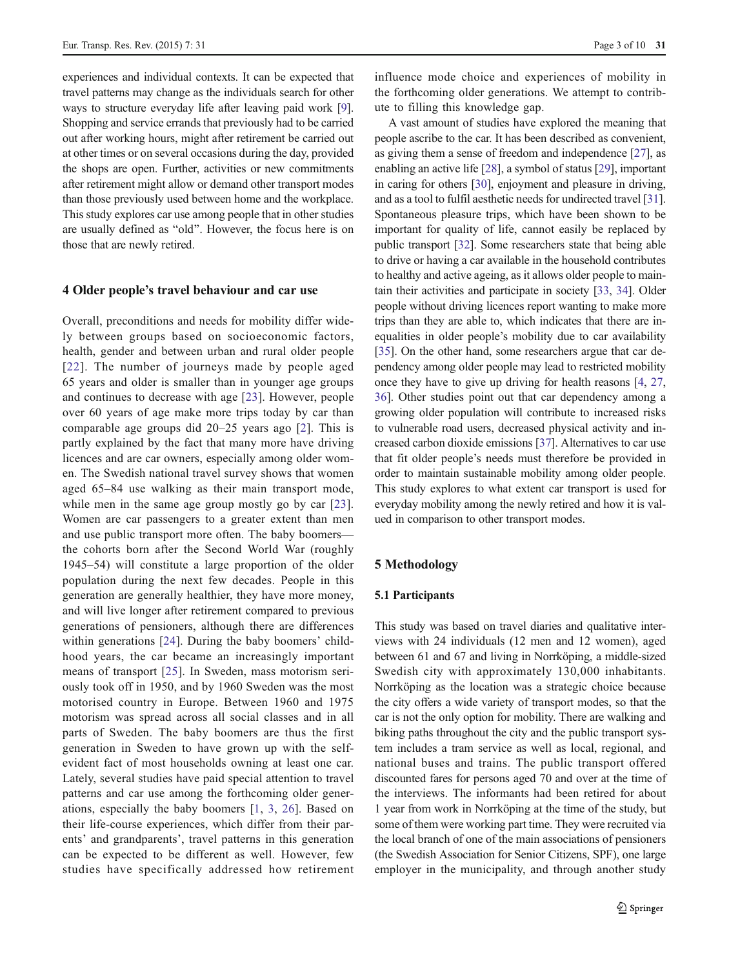experiences and individual contexts. It can be expected that travel patterns may change as the individuals search for other ways to structure everyday life after leaving paid work [[9\]](#page-8-0). Shopping and service errands that previously had to be carried out after working hours, might after retirement be carried out at other times or on several occasions during the day, provided the shops are open. Further, activities or new commitments after retirement might allow or demand other transport modes than those previously used between home and the workplace. This study explores car use among people that in other studies are usually defined as "old". However, the focus here is on those that are newly retired.

## 4 Older people's travel behaviour and car use

Overall, preconditions and needs for mobility differ widely between groups based on socioeconomic factors, health, gender and between urban and rural older people [[22](#page-8-0)]. The number of journeys made by people aged 65 years and older is smaller than in younger age groups and continues to decrease with age [[23\]](#page-8-0). However, people over 60 years of age make more trips today by car than comparable age groups did 20–25 years ago [\[2\]](#page-8-0). This is partly explained by the fact that many more have driving licences and are car owners, especially among older women. The Swedish national travel survey shows that women aged 65–84 use walking as their main transport mode, while men in the same age group mostly go by car [[23](#page-8-0)]. Women are car passengers to a greater extent than men and use public transport more often. The baby boomers the cohorts born after the Second World War (roughly 1945–54) will constitute a large proportion of the older population during the next few decades. People in this generation are generally healthier, they have more money, and will live longer after retirement compared to previous generations of pensioners, although there are differences within generations [[24\]](#page-8-0). During the baby boomers' childhood years, the car became an increasingly important means of transport [\[25\]](#page-8-0). In Sweden, mass motorism seriously took off in 1950, and by 1960 Sweden was the most motorised country in Europe. Between 1960 and 1975 motorism was spread across all social classes and in all parts of Sweden. The baby boomers are thus the first generation in Sweden to have grown up with the selfevident fact of most households owning at least one car. Lately, several studies have paid special attention to travel patterns and car use among the forthcoming older generations, especially the baby boomers [[1,](#page-8-0) [3](#page-8-0), [26\]](#page-8-0). Based on their life-course experiences, which differ from their parents' and grandparents', travel patterns in this generation can be expected to be different as well. However, few studies have specifically addressed how retirement influence mode choice and experiences of mobility in the forthcoming older generations. We attempt to contribute to filling this knowledge gap.

A vast amount of studies have explored the meaning that people ascribe to the car. It has been described as convenient, as giving them a sense of freedom and independence [\[27\]](#page-8-0), as enabling an active life [\[28](#page-8-0)], a symbol of status [\[29\]](#page-8-0), important in caring for others [\[30\]](#page-8-0), enjoyment and pleasure in driving, and as a tool to fulfil aesthetic needs for undirected travel [[31\]](#page-8-0). Spontaneous pleasure trips, which have been shown to be important for quality of life, cannot easily be replaced by public transport [\[32\]](#page-8-0). Some researchers state that being able to drive or having a car available in the household contributes to healthy and active ageing, as it allows older people to maintain their activities and participate in society [\[33,](#page-8-0) [34](#page-8-0)]. Older people without driving licences report wanting to make more trips than they are able to, which indicates that there are inequalities in older people's mobility due to car availability [\[35](#page-9-0)]. On the other hand, some researchers argue that car dependency among older people may lead to restricted mobility once they have to give up driving for health reasons [\[4](#page-8-0), [27,](#page-8-0) [36](#page-9-0)]. Other studies point out that car dependency among a growing older population will contribute to increased risks to vulnerable road users, decreased physical activity and increased carbon dioxide emissions [[37](#page-9-0)]. Alternatives to car use that fit older people's needs must therefore be provided in order to maintain sustainable mobility among older people. This study explores to what extent car transport is used for everyday mobility among the newly retired and how it is valued in comparison to other transport modes.

## 5 Methodology

#### 5.1 Participants

This study was based on travel diaries and qualitative interviews with 24 individuals (12 men and 12 women), aged between 61 and 67 and living in Norrköping, a middle-sized Swedish city with approximately 130,000 inhabitants. Norrköping as the location was a strategic choice because the city offers a wide variety of transport modes, so that the car is not the only option for mobility. There are walking and biking paths throughout the city and the public transport system includes a tram service as well as local, regional, and national buses and trains. The public transport offered discounted fares for persons aged 70 and over at the time of the interviews. The informants had been retired for about 1 year from work in Norrköping at the time of the study, but some of them were working part time. They were recruited via the local branch of one of the main associations of pensioners (the Swedish Association for Senior Citizens, SPF), one large employer in the municipality, and through another study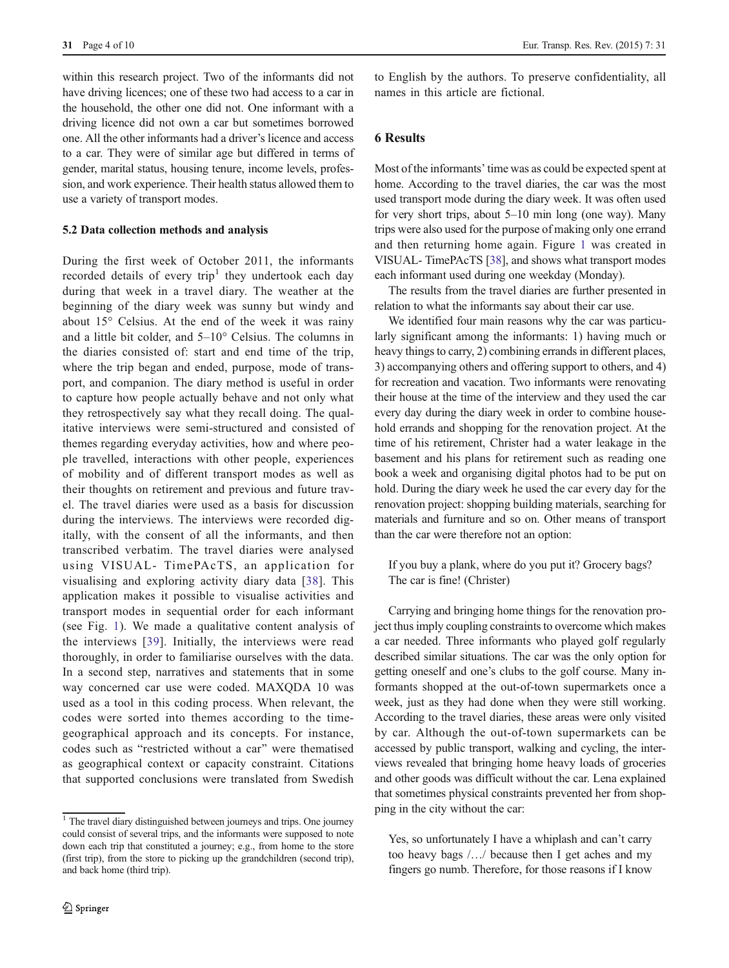within this research project. Two of the informants did not have driving licences; one of these two had access to a car in the household, the other one did not. One informant with a driving licence did not own a car but sometimes borrowed one. All the other informants had a driver's licence and access to a car. They were of similar age but differed in terms of gender, marital status, housing tenure, income levels, profession, and work experience. Their health status allowed them to use a variety of transport modes.

### 5.2 Data collection methods and analysis

During the first week of October 2011, the informants recorded details of every trip<sup>1</sup> they undertook each day during that week in a travel diary. The weather at the beginning of the diary week was sunny but windy and about 15° Celsius. At the end of the week it was rainy and a little bit colder, and 5–10° Celsius. The columns in the diaries consisted of: start and end time of the trip, where the trip began and ended, purpose, mode of transport, and companion. The diary method is useful in order to capture how people actually behave and not only what they retrospectively say what they recall doing. The qualitative interviews were semi-structured and consisted of themes regarding everyday activities, how and where people travelled, interactions with other people, experiences of mobility and of different transport modes as well as their thoughts on retirement and previous and future travel. The travel diaries were used as a basis for discussion during the interviews. The interviews were recorded digitally, with the consent of all the informants, and then transcribed verbatim. The travel diaries were analysed using VISUAL- TimePAcTS, an application for visualising and exploring activity diary data [[38](#page-9-0)]. This application makes it possible to visualise activities and transport modes in sequential order for each informant (see Fig. [1\)](#page-4-0). We made a qualitative content analysis of the interviews [[39](#page-9-0)]. Initially, the interviews were read thoroughly, in order to familiarise ourselves with the data. In a second step, narratives and statements that in some way concerned car use were coded. MAXQDA 10 was used as a tool in this coding process. When relevant, the codes were sorted into themes according to the timegeographical approach and its concepts. For instance, codes such as "restricted without a car" were thematised as geographical context or capacity constraint. Citations that supported conclusions were translated from Swedish

to English by the authors. To preserve confidentiality, all names in this article are fictional.

## 6 Results

Most of the informants' time was as could be expected spent at home. According to the travel diaries, the car was the most used transport mode during the diary week. It was often used for very short trips, about 5–10 min long (one way). Many trips were also used for the purpose of making only one errand and then returning home again. Figure [1](#page-4-0) was created in VISUAL- TimePAcTS [\[38\]](#page-9-0), and shows what transport modes each informant used during one weekday (Monday).

The results from the travel diaries are further presented in relation to what the informants say about their car use.

We identified four main reasons why the car was particularly significant among the informants: 1) having much or heavy things to carry, 2) combining errands in different places, 3) accompanying others and offering support to others, and 4) for recreation and vacation. Two informants were renovating their house at the time of the interview and they used the car every day during the diary week in order to combine household errands and shopping for the renovation project. At the time of his retirement, Christer had a water leakage in the basement and his plans for retirement such as reading one book a week and organising digital photos had to be put on hold. During the diary week he used the car every day for the renovation project: shopping building materials, searching for materials and furniture and so on. Other means of transport than the car were therefore not an option:

If you buy a plank, where do you put it? Grocery bags? The car is fine! (Christer)

Carrying and bringing home things for the renovation project thus imply coupling constraints to overcome which makes a car needed. Three informants who played golf regularly described similar situations. The car was the only option for getting oneself and one's clubs to the golf course. Many informants shopped at the out-of-town supermarkets once a week, just as they had done when they were still working. According to the travel diaries, these areas were only visited by car. Although the out-of-town supermarkets can be accessed by public transport, walking and cycling, the interviews revealed that bringing home heavy loads of groceries and other goods was difficult without the car. Lena explained that sometimes physical constraints prevented her from shopping in the city without the car:

Yes, so unfortunately I have a whiplash and can't carry too heavy bags /…/ because then I get aches and my fingers go numb. Therefore, for those reasons if I know

<sup>&</sup>lt;sup>1</sup> The travel diary distinguished between journeys and trips. One journey could consist of several trips, and the informants were supposed to note down each trip that constituted a journey; e.g., from home to the store (first trip), from the store to picking up the grandchildren (second trip), and back home (third trip).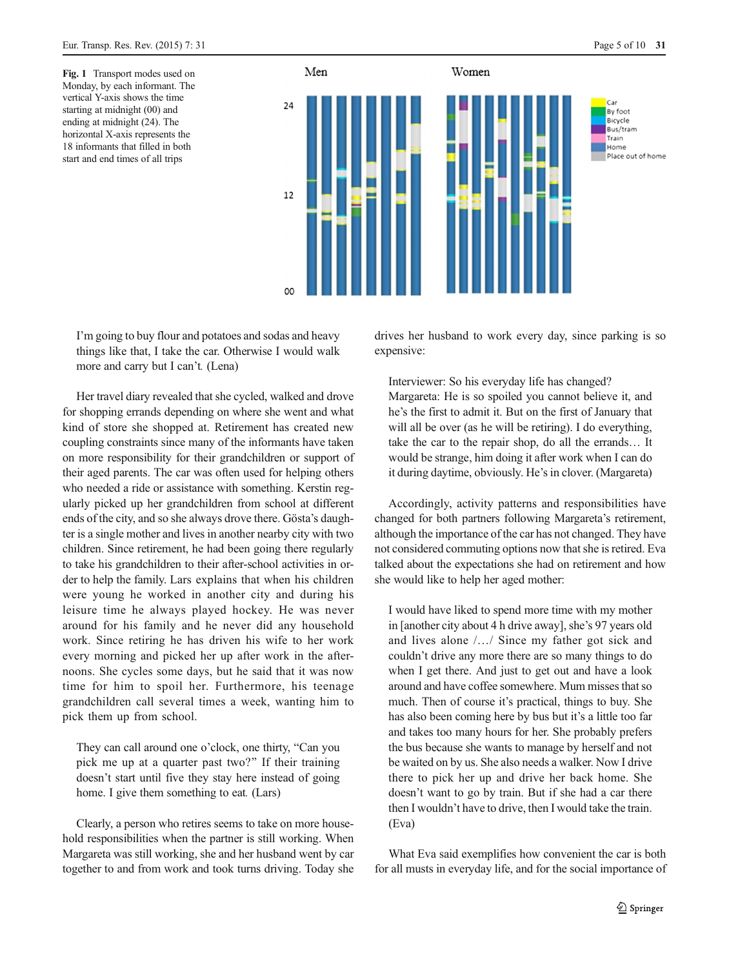<span id="page-4-0"></span>Fig. 1 Transport modes used on Monday, by each informant. The vertical Y-axis shows the time starting at midnight (00) and ending at midnight (24). The horizontal X-axis represents the 18 informants that filled in both start and end times of all trips



I'm going to buy flour and potatoes and sodas and heavy things like that, I take the car. Otherwise I would walk more and carry but I can't. (Lena)

Her travel diary revealed that she cycled, walked and drove for shopping errands depending on where she went and what kind of store she shopped at. Retirement has created new coupling constraints since many of the informants have taken on more responsibility for their grandchildren or support of their aged parents. The car was often used for helping others who needed a ride or assistance with something. Kerstin regularly picked up her grandchildren from school at different ends of the city, and so she always drove there. Gösta's daughter is a single mother and lives in another nearby city with two children. Since retirement, he had been going there regularly to take his grandchildren to their after-school activities in order to help the family. Lars explains that when his children were young he worked in another city and during his leisure time he always played hockey. He was never around for his family and he never did any household work. Since retiring he has driven his wife to her work every morning and picked her up after work in the afternoons. She cycles some days, but he said that it was now time for him to spoil her. Furthermore, his teenage grandchildren call several times a week, wanting him to pick them up from school.

They can call around one o'clock, one thirty, "Can you pick me up at a quarter past two?^ If their training doesn't start until five they stay here instead of going home. I give them something to eat. (Lars)

Clearly, a person who retires seems to take on more household responsibilities when the partner is still working. When Margareta was still working, she and her husband went by car together to and from work and took turns driving. Today she drives her husband to work every day, since parking is so expensive:

Interviewer: So his everyday life has changed? Margareta: He is so spoiled you cannot believe it, and he's the first to admit it. But on the first of January that will all be over (as he will be retiring). I do everything, take the car to the repair shop, do all the errands… It would be strange, him doing it after work when I can do it during daytime, obviously. He's in clover. (Margareta)

Accordingly, activity patterns and responsibilities have changed for both partners following Margareta's retirement, although the importance of the car has not changed. They have not considered commuting options now that she is retired. Eva talked about the expectations she had on retirement and how she would like to help her aged mother:

I would have liked to spend more time with my mother in [another city about 4 h drive away], she's 97 years old and lives alone /…/ Since my father got sick and couldn't drive any more there are so many things to do when I get there. And just to get out and have a look around and have coffee somewhere. Mum misses that so much. Then of course it's practical, things to buy. She has also been coming here by bus but it's a little too far and takes too many hours for her. She probably prefers the bus because she wants to manage by herself and not be waited on by us. She also needs a walker. Now I drive there to pick her up and drive her back home. She doesn't want to go by train. But if she had a car there then I wouldn't have to drive, then I would take the train. (Eva)

What Eva said exemplifies how convenient the car is both for all musts in everyday life, and for the social importance of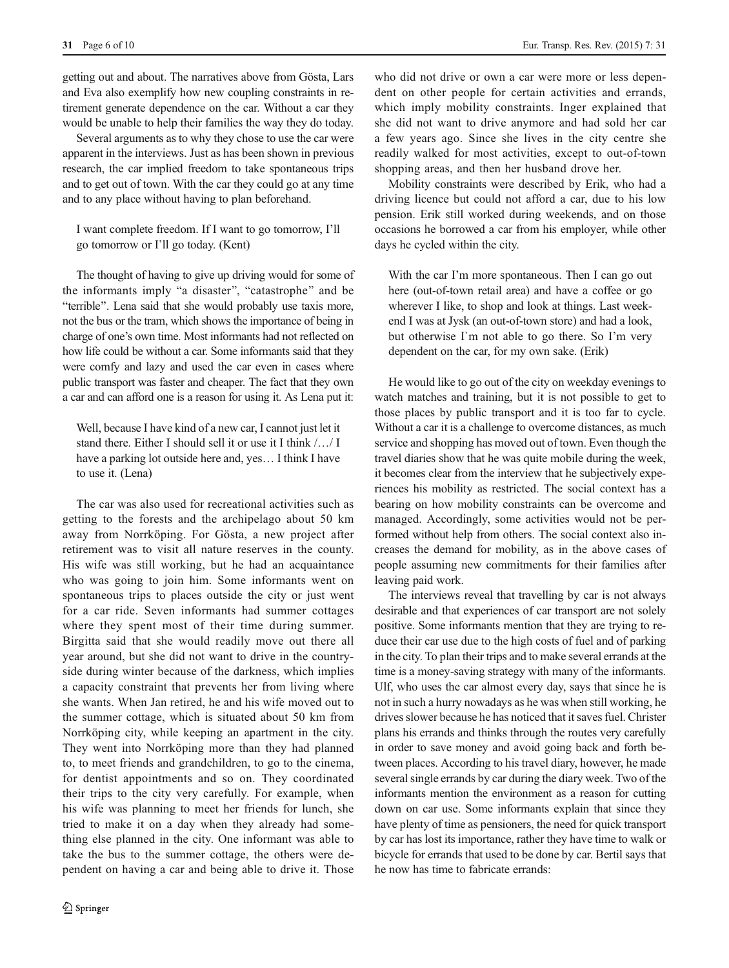getting out and about. The narratives above from Gösta, Lars and Eva also exemplify how new coupling constraints in retirement generate dependence on the car. Without a car they would be unable to help their families the way they do today.

Several arguments as to why they chose to use the car were apparent in the interviews. Just as has been shown in previous research, the car implied freedom to take spontaneous trips and to get out of town. With the car they could go at any time and to any place without having to plan beforehand.

I want complete freedom. If I want to go tomorrow, I'll go tomorrow or I'll go today. (Kent)

The thought of having to give up driving would for some of the informants imply "a disaster", "catastrophe" and be "terrible". Lena said that she would probably use taxis more, not the bus or the tram, which shows the importance of being in charge of one's own time. Most informants had not reflected on how life could be without a car. Some informants said that they were comfy and lazy and used the car even in cases where public transport was faster and cheaper. The fact that they own a car and can afford one is a reason for using it. As Lena put it:

Well, because I have kind of a new car, I cannot just let it stand there. Either I should sell it or use it I think /…/ I have a parking lot outside here and, yes… I think I have to use it. (Lena)

The car was also used for recreational activities such as getting to the forests and the archipelago about 50 km away from Norrköping. For Gösta, a new project after retirement was to visit all nature reserves in the county. His wife was still working, but he had an acquaintance who was going to join him. Some informants went on spontaneous trips to places outside the city or just went for a car ride. Seven informants had summer cottages where they spent most of their time during summer. Birgitta said that she would readily move out there all year around, but she did not want to drive in the countryside during winter because of the darkness, which implies a capacity constraint that prevents her from living where she wants. When Jan retired, he and his wife moved out to the summer cottage, which is situated about 50 km from Norrköping city, while keeping an apartment in the city. They went into Norrköping more than they had planned to, to meet friends and grandchildren, to go to the cinema, for dentist appointments and so on. They coordinated their trips to the city very carefully. For example, when his wife was planning to meet her friends for lunch, she tried to make it on a day when they already had something else planned in the city. One informant was able to take the bus to the summer cottage, the others were dependent on having a car and being able to drive it. Those

who did not drive or own a car were more or less dependent on other people for certain activities and errands, which imply mobility constraints. Inger explained that she did not want to drive anymore and had sold her car a few years ago. Since she lives in the city centre she readily walked for most activities, except to out-of-town shopping areas, and then her husband drove her.

Mobility constraints were described by Erik, who had a driving licence but could not afford a car, due to his low pension. Erik still worked during weekends, and on those occasions he borrowed a car from his employer, while other days he cycled within the city.

With the car I'm more spontaneous. Then I can go out here (out-of-town retail area) and have a coffee or go wherever I like, to shop and look at things. Last weekend I was at Jysk (an out-of-town store) and had a look, but otherwise I`m not able to go there. So I'm very dependent on the car, for my own sake. (Erik)

He would like to go out of the city on weekday evenings to watch matches and training, but it is not possible to get to those places by public transport and it is too far to cycle. Without a car it is a challenge to overcome distances, as much service and shopping has moved out of town. Even though the travel diaries show that he was quite mobile during the week, it becomes clear from the interview that he subjectively experiences his mobility as restricted. The social context has a bearing on how mobility constraints can be overcome and managed. Accordingly, some activities would not be performed without help from others. The social context also increases the demand for mobility, as in the above cases of people assuming new commitments for their families after leaving paid work.

The interviews reveal that travelling by car is not always desirable and that experiences of car transport are not solely positive. Some informants mention that they are trying to reduce their car use due to the high costs of fuel and of parking in the city. To plan their trips and to make several errands at the time is a money-saving strategy with many of the informants. Ulf, who uses the car almost every day, says that since he is not in such a hurry nowadays as he was when still working, he drives slower because he has noticed that it saves fuel. Christer plans his errands and thinks through the routes very carefully in order to save money and avoid going back and forth between places. According to his travel diary, however, he made several single errands by car during the diary week. Two of the informants mention the environment as a reason for cutting down on car use. Some informants explain that since they have plenty of time as pensioners, the need for quick transport by car has lost its importance, rather they have time to walk or bicycle for errands that used to be done by car. Bertil says that he now has time to fabricate errands: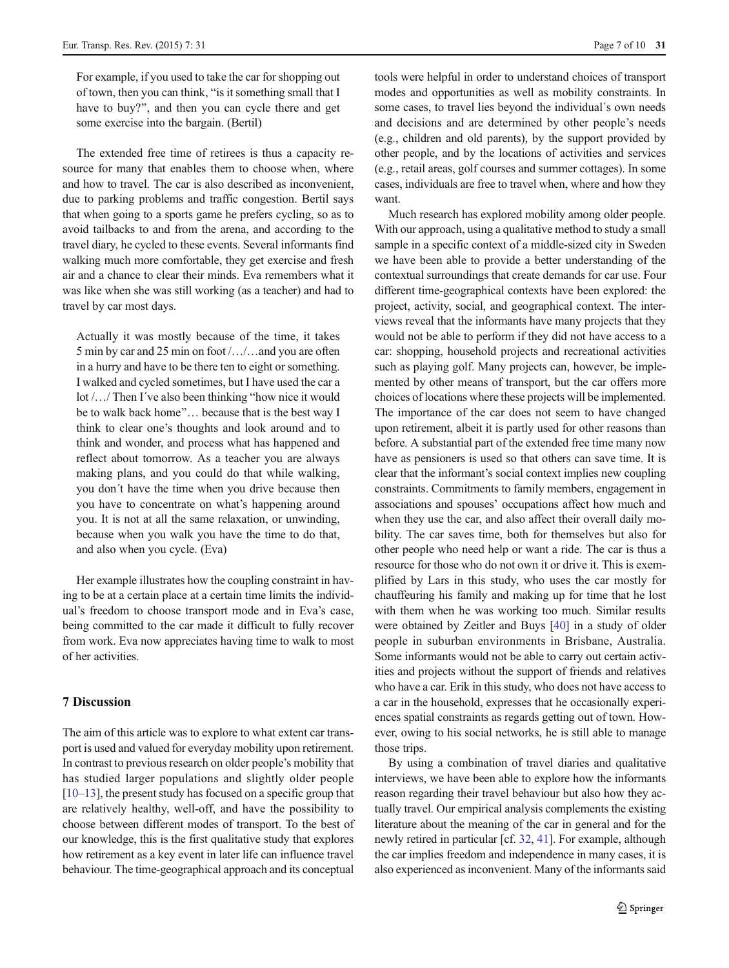For example, if you used to take the car for shopping out of town, then you can think, "is it something small that I have to buy?", and then you can cycle there and get some exercise into the bargain. (Bertil)

The extended free time of retirees is thus a capacity resource for many that enables them to choose when, where and how to travel. The car is also described as inconvenient, due to parking problems and traffic congestion. Bertil says that when going to a sports game he prefers cycling, so as to avoid tailbacks to and from the arena, and according to the travel diary, he cycled to these events. Several informants find walking much more comfortable, they get exercise and fresh air and a chance to clear their minds. Eva remembers what it was like when she was still working (as a teacher) and had to travel by car most days.

Actually it was mostly because of the time, it takes 5 min by car and 25 min on foot /…/…and you are often in a hurry and have to be there ten to eight or something. I walked and cycled sometimes, but I have used the car a lot /.../ Then I've also been thinking "how nice it would be to walk back home"... because that is the best way I think to clear one's thoughts and look around and to think and wonder, and process what has happened and reflect about tomorrow. As a teacher you are always making plans, and you could do that while walking, you don´t have the time when you drive because then you have to concentrate on what's happening around you. It is not at all the same relaxation, or unwinding, because when you walk you have the time to do that, and also when you cycle. (Eva)

Her example illustrates how the coupling constraint in having to be at a certain place at a certain time limits the individual's freedom to choose transport mode and in Eva's case, being committed to the car made it difficult to fully recover from work. Eva now appreciates having time to walk to most of her activities.

# 7 Discussion

The aim of this article was to explore to what extent car transport is used and valued for everyday mobility upon retirement. In contrast to previous research on older people's mobility that has studied larger populations and slightly older people [\[10](#page-8-0)–[13\]](#page-8-0), the present study has focused on a specific group that are relatively healthy, well-off, and have the possibility to choose between different modes of transport. To the best of our knowledge, this is the first qualitative study that explores how retirement as a key event in later life can influence travel behaviour. The time-geographical approach and its conceptual

tools were helpful in order to understand choices of transport modes and opportunities as well as mobility constraints. In some cases, to travel lies beyond the individual´s own needs and decisions and are determined by other people's needs (e.g., children and old parents), by the support provided by other people, and by the locations of activities and services (e.g., retail areas, golf courses and summer cottages). In some cases, individuals are free to travel when, where and how they want.

Much research has explored mobility among older people. With our approach, using a qualitative method to study a small sample in a specific context of a middle-sized city in Sweden we have been able to provide a better understanding of the contextual surroundings that create demands for car use. Four different time-geographical contexts have been explored: the project, activity, social, and geographical context. The interviews reveal that the informants have many projects that they would not be able to perform if they did not have access to a car: shopping, household projects and recreational activities such as playing golf. Many projects can, however, be implemented by other means of transport, but the car offers more choices of locations where these projects will be implemented. The importance of the car does not seem to have changed upon retirement, albeit it is partly used for other reasons than before. A substantial part of the extended free time many now have as pensioners is used so that others can save time. It is clear that the informant's social context implies new coupling constraints. Commitments to family members, engagement in associations and spouses' occupations affect how much and when they use the car, and also affect their overall daily mobility. The car saves time, both for themselves but also for other people who need help or want a ride. The car is thus a resource for those who do not own it or drive it. This is exemplified by Lars in this study, who uses the car mostly for chauffeuring his family and making up for time that he lost with them when he was working too much. Similar results were obtained by Zeitler and Buys [\[40](#page-9-0)] in a study of older people in suburban environments in Brisbane, Australia. Some informants would not be able to carry out certain activities and projects without the support of friends and relatives who have a car. Erik in this study, who does not have access to a car in the household, expresses that he occasionally experiences spatial constraints as regards getting out of town. However, owing to his social networks, he is still able to manage those trips.

By using a combination of travel diaries and qualitative interviews, we have been able to explore how the informants reason regarding their travel behaviour but also how they actually travel. Our empirical analysis complements the existing literature about the meaning of the car in general and for the newly retired in particular [cf. [32,](#page-8-0) [41\]](#page-9-0). For example, although the car implies freedom and independence in many cases, it is also experienced as inconvenient. Many of the informants said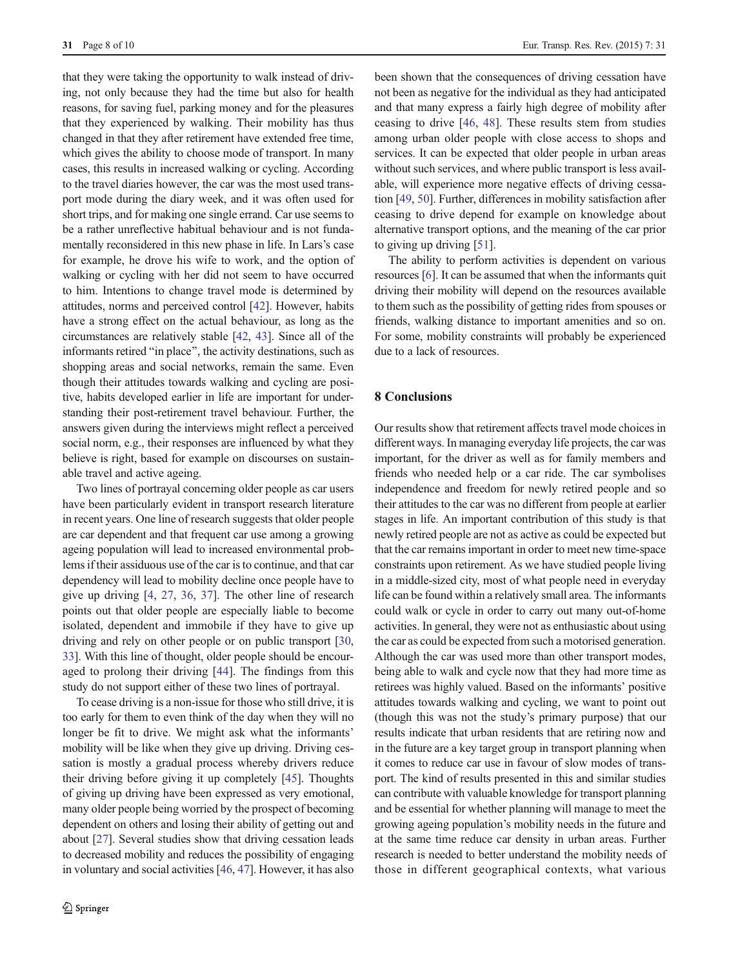that they were taking the opportunity to walk instead of driving, not only because they had the time but also for health reasons, for saving fuel, parking money and for the pleasures that they experienced by walking. Their mobility has thus changed in that they after retirement have extended free time, which gives the ability to choose mode of transport. In many cases, this results in increased walking or cycling. According to the travel diaries however, the car was the most used transport mode during the diary week, and it was often used for short trips, and for making one single errand. Car use seems to be a rather unreflective habitual behaviour and is not fundamentally reconsidered in this new phase in life. In Lars's case for example, he drove his wife to work, and the option of walking or cycling with her did not seem to have occurred to him. Intentions to change travel mode is determined by attitudes, norms and perceived control [\[42\]](#page-9-0). However, habits have a strong effect on the actual behaviour, as long as the circumstances are relatively stable [\[42,](#page-9-0) [43\]](#page-9-0). Since all of the informants retired "in place", the activity destinations, such as shopping areas and social networks, remain the same. Even though their attitudes towards walking and cycling are positive, habits developed earlier in life are important for understanding their post-retirement travel behaviour. Further, the answers given during the interviews might reflect a perceived social norm, e.g., their responses are influenced by what they believe is right, based for example on discourses on sustainable travel and active ageing.

Two lines of portrayal concerning older people as car users have been particularly evident in transport research literature in recent years. One line of research suggests that older people are car dependent and that frequent car use among a growing ageing population will lead to increased environmental problems if their assiduous use of the car is to continue, and that car dependency will lead to mobility decline once people have to give up driving [[4,](#page-8-0) [27,](#page-8-0) [36,](#page-9-0) [37](#page-9-0)]. The other line of research points out that older people are especially liable to become isolated, dependent and immobile if they have to give up driving and rely on other people or on public transport [[30,](#page-8-0) [33\]](#page-8-0). With this line of thought, older people should be encouraged to prolong their driving [\[44](#page-9-0)]. The findings from this study do not support either of these two lines of portrayal.

To cease driving is a non-issue for those who still drive, it is too early for them to even think of the day when they will no longer be fit to drive. We might ask what the informants' mobility will be like when they give up driving. Driving cessation is mostly a gradual process whereby drivers reduce their driving before giving it up completely [\[45\]](#page-9-0). Thoughts of giving up driving have been expressed as very emotional, many older people being worried by the prospect of becoming dependent on others and losing their ability of getting out and about [[27\]](#page-8-0). Several studies show that driving cessation leads to decreased mobility and reduces the possibility of engaging in voluntary and social activities [\[46,](#page-9-0) [47\]](#page-9-0). However, it has also been shown that the consequences of driving cessation have not been as negative for the individual as they had anticipated and that many express a fairly high degree of mobility after ceasing to drive [\[46,](#page-9-0) [48\]](#page-9-0). These results stem from studies among urban older people with close access to shops and services. It can be expected that older people in urban areas without such services, and where public transport is less available, will experience more negative effects of driving cessation [[49](#page-9-0), [50\]](#page-9-0). Further, differences in mobility satisfaction after ceasing to drive depend for example on knowledge about alternative transport options, and the meaning of the car prior to giving up driving [\[51\]](#page-9-0).

The ability to perform activities is dependent on various resources [[6\]](#page-8-0). It can be assumed that when the informants quit driving their mobility will depend on the resources available to them such as the possibility of getting rides from spouses or friends, walking distance to important amenities and so on. For some, mobility constraints will probably be experienced due to a lack of resources.

## 8 Conclusions

Our results show that retirement affects travel mode choices in different ways. In managing everyday life projects, the car was important, for the driver as well as for family members and friends who needed help or a car ride. The car symbolises independence and freedom for newly retired people and so their attitudes to the car was no different from people at earlier stages in life. An important contribution of this study is that newly retired people are not as active as could be expected but that the car remains important in order to meet new time-space constraints upon retirement. As we have studied people living in a middle-sized city, most of what people need in everyday life can be found within a relatively small area. The informants could walk or cycle in order to carry out many out-of-home activities. In general, they were not as enthusiastic about using the car as could be expected from such a motorised generation. Although the car was used more than other transport modes, being able to walk and cycle now that they had more time as retirees was highly valued. Based on the informants' positive attitudes towards walking and cycling, we want to point out (though this was not the study's primary purpose) that our results indicate that urban residents that are retiring now and in the future are a key target group in transport planning when it comes to reduce car use in favour of slow modes of transport. The kind of results presented in this and similar studies can contribute with valuable knowledge for transport planning and be essential for whether planning will manage to meet the growing ageing population's mobility needs in the future and at the same time reduce car density in urban areas. Further research is needed to better understand the mobility needs of those in different geographical contexts, what various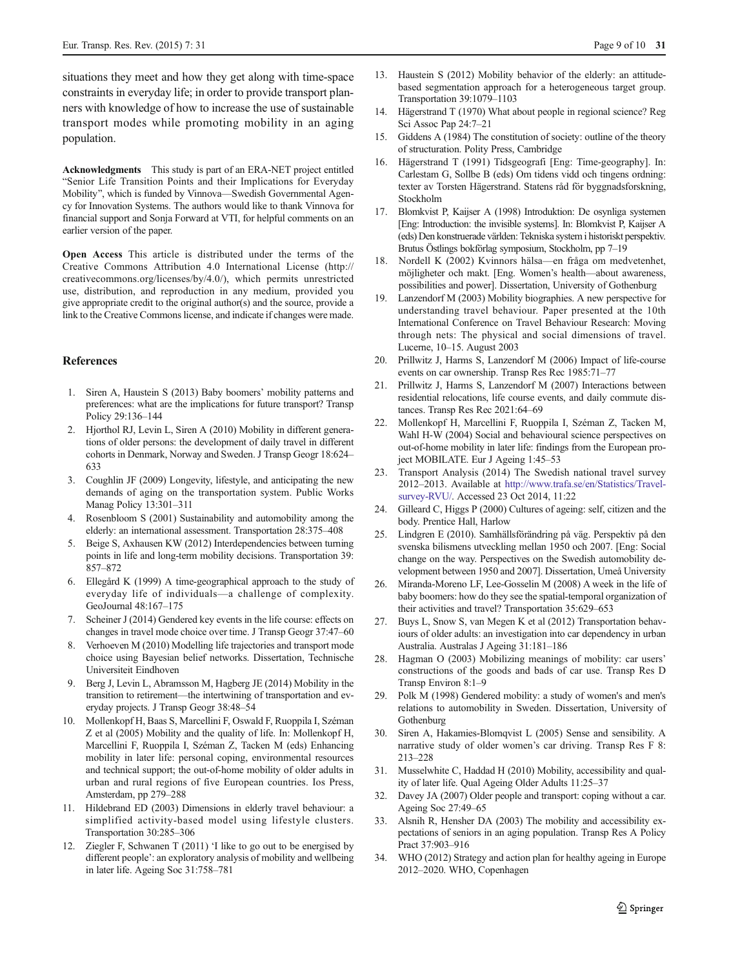<span id="page-8-0"></span>situations they meet and how they get along with time-space constraints in everyday life; in order to provide transport planners with knowledge of how to increase the use of sustainable transport modes while promoting mobility in an aging population.

Acknowledgments This study is part of an ERA-NET project entitled "Senior Life Transition Points and their Implications for Everyday Mobility", which is funded by Vinnova—Swedish Governmental Agency for Innovation Systems. The authors would like to thank Vinnova for financial support and Sonja Forward at VTI, for helpful comments on an earlier version of the paper.

Open Access This article is distributed under the terms of the Creative Commons Attribution 4.0 International License (http:// creativecommons.org/licenses/by/4.0/), which permits unrestricted use, distribution, and reproduction in any medium, provided you give appropriate credit to the original author(s) and the source, provide a link to the Creative Commons license, and indicate if changes were made.

## References

- 1. Siren A, Haustein S (2013) Baby boomers' mobility patterns and preferences: what are the implications for future transport? Transp Policy 29:136–144
- 2. Hjorthol RJ, Levin L, Siren A (2010) Mobility in different generations of older persons: the development of daily travel in different cohorts in Denmark, Norway and Sweden. J Transp Geogr 18:624– 633
- 3. Coughlin JF (2009) Longevity, lifestyle, and anticipating the new demands of aging on the transportation system. Public Works Manag Policy 13:301–311
- 4. Rosenbloom S (2001) Sustainability and automobility among the elderly: an international assessment. Transportation 28:375–408
- 5. Beige S, Axhausen KW (2012) Interdependencies between turning points in life and long-term mobility decisions. Transportation 39: 857–872
- 6. Ellegård K (1999) A time-geographical approach to the study of everyday life of individuals—a challenge of complexity. GeoJournal 48:167–175
- 7. Scheiner J (2014) Gendered key events in the life course: effects on changes in travel mode choice over time. J Transp Geogr 37:47–60
- 8. Verhoeven M (2010) Modelling life trajectories and transport mode choice using Bayesian belief networks. Dissertation, Technische Universiteit Eindhoven
- 9. Berg J, Levin L, Abramsson M, Hagberg JE (2014) Mobility in the transition to retirement—the intertwining of transportation and everyday projects. J Transp Geogr 38:48–54
- 10. Mollenkopf H, Baas S, Marcellini F, Oswald F, Ruoppila I, Széman Z et al (2005) Mobility and the quality of life. In: Mollenkopf H, Marcellini F, Ruoppila I, Széman Z, Tacken M (eds) Enhancing mobility in later life: personal coping, environmental resources and technical support; the out-of-home mobility of older adults in urban and rural regions of five European countries. Ios Press, Amsterdam, pp 279–288
- 11. Hildebrand ED (2003) Dimensions in elderly travel behaviour: a simplified activity-based model using lifestyle clusters. Transportation 30:285–306
- 12. Ziegler F, Schwanen T (2011) 'I like to go out to be energised by different people': an exploratory analysis of mobility and wellbeing in later life. Ageing Soc 31:758–781
- 13. Haustein S (2012) Mobility behavior of the elderly: an attitudebased segmentation approach for a heterogeneous target group. Transportation 39:1079–1103
- 14. Hägerstrand T (1970) What about people in regional science? Reg Sci Assoc Pap 24:7–21
- 15. Giddens A (1984) The constitution of society: outline of the theory of structuration. Polity Press, Cambridge
- 16. Hägerstrand T (1991) Tidsgeografi [Eng: Time-geography]. In: Carlestam G, Sollbe B (eds) Om tidens vidd och tingens ordning: texter av Torsten Hägerstrand. Statens råd för byggnadsforskning, Stockholm
- 17. Blomkvist P, Kaijser A (1998) Introduktion: De osynliga systemen [Eng: Introduction: the invisible systems]. In: Blomkvist P, Kaijser A (eds) Den konstruerade världen: Tekniska system i historiskt perspektiv. Brutus Östlings bokförlag symposium, Stockholm, pp 7–19
- Nordell K (2002) Kvinnors hälsa—en fråga om medvetenhet, möjligheter och makt. [Eng. Women's health—about awareness, possibilities and power]. Dissertation, University of Gothenburg
- 19. Lanzendorf M (2003) Mobility biographies. A new perspective for understanding travel behaviour. Paper presented at the 10th International Conference on Travel Behaviour Research: Moving through nets: The physical and social dimensions of travel. Lucerne, 10–15. August 2003
- 20. Prillwitz J, Harms S, Lanzendorf M (2006) Impact of life-course events on car ownership. Transp Res Rec 1985:71–77
- 21. Prillwitz J, Harms S, Lanzendorf M (2007) Interactions between residential relocations, life course events, and daily commute distances. Transp Res Rec 2021:64–69
- 22. Mollenkopf H, Marcellini F, Ruoppila I, Széman Z, Tacken M, Wahl H-W (2004) Social and behavioural science perspectives on out-of-home mobility in later life: findings from the European project MOBILATE. Eur J Ageing 1:45–53
- 23. Transport Analysis (2014) The Swedish national travel survey 2012–2013. Available at [http://www.trafa.se/en/Statistics/Travel](http://www.trafa.se/en/Statistics/Travel-survey-RVU/)[survey-RVU/](http://www.trafa.se/en/Statistics/Travel-survey-RVU/). Accessed 23 Oct 2014, 11:22
- 24. Gilleard C, Higgs P (2000) Cultures of ageing: self, citizen and the body. Prentice Hall, Harlow
- 25. Lindgren E (2010). Samhällsförändring på väg. Perspektiv på den svenska bilismens utveckling mellan 1950 och 2007. [Eng: Social change on the way. Perspectives on the Swedish automobility development between 1950 and 2007]. Dissertation, Umeå University
- 26. Miranda-Moreno LF, Lee-Gosselin M (2008) A week in the life of baby boomers: how do they see the spatial-temporal organization of their activities and travel? Transportation 35:629–653
- 27. Buys L, Snow S, van Megen K et al (2012) Transportation behaviours of older adults: an investigation into car dependency in urban Australia. Australas J Ageing 31:181–186
- 28. Hagman O (2003) Mobilizing meanings of mobility: car users' constructions of the goods and bads of car use. Transp Res D Transp Environ 8:1–9
- 29. Polk M (1998) Gendered mobility: a study of women's and men's relations to automobility in Sweden. Dissertation, University of Gothenburg
- 30. Siren A, Hakamies-Blomqvist L (2005) Sense and sensibility. A narrative study of older women's car driving. Transp Res F 8: 213–228
- 31. Musselwhite C, Haddad H (2010) Mobility, accessibility and quality of later life. Qual Ageing Older Adults 11:25–37
- 32. Davey JA (2007) Older people and transport: coping without a car. Ageing Soc 27:49–65
- 33. Alsnih R, Hensher DA (2003) The mobility and accessibility expectations of seniors in an aging population. Transp Res A Policy Pract 37:903–916
- 34. WHO (2012) Strategy and action plan for healthy ageing in Europe 2012–2020. WHO, Copenhagen